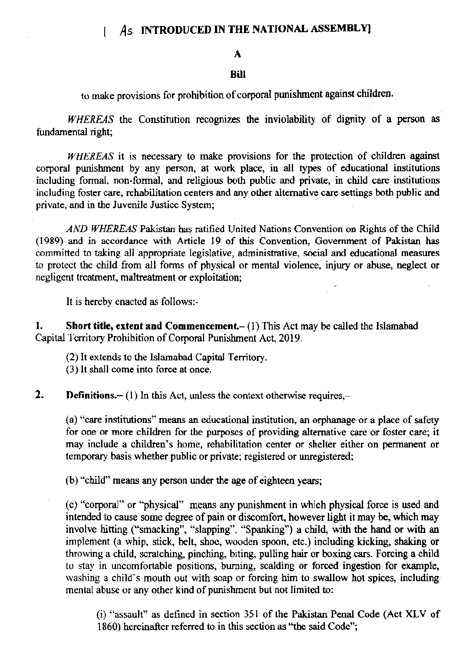## As INTRODUCED IN THE NATIONAL ASSEMBLY]

## А

## Rill

to make provisions for prohibition of corporal punishment against children.

WHEREAS the Constitution recognizes the inviolability of dignity of a person as fundamental right;

WHEREAS it is necessary to make provisions for the protection of children against corporal punishment by any person, at work place, in all types of educational institutions including formal, non-formal, and religious both public and private, in child care institutions including foster care, rehabilitation centers and any other alternative care settings both public and private, and in the Juvenile Justice System;

AND WHEREAS Pakistan has ratified United Nations Convention on Rights of the Child (1989) and in accordance with Article 19 of this Convention, Government of Pakistan has committed to taking all appropriate legislative, administrative, social and educational measures to protect the child from all forms of physical or mental violence, injury or abuse, neglect or negligent treatment, maltreatment or exploitation;

It is hereby enacted as follows:-

Short title, extent and Commencement.- (1) This Act may be called the Islamabad 1. Capital Territory Prohibition of Corporal Punishment Act, 2019.

(2) It extends to the Islamabad Capital Territory.

(3) It shall come into force at once.

 $2.$ **Definitions.**  $- (1)$  In this Act, unless the context otherwise requires, $-$ 

(a) "care institutions" means an educational institution, an orphanage or a place of safety for one or more children for the purposes of providing alternative care or foster care; it may include a children's home, rehabilitation center or shelter either on permanent or temporary basis whether public or private; registered or unregistered;

(b) "child" means any person under the age of eighteen years;

(c) "corporal" or "physical" means any punishment in which physical force is used and intended to cause some degree of pain or discomfort, however light it may be, which may involve hitting ("smacking", "slapping", "Spanking") a child, with the hand or with an implement (a whip, stick, belt, shoe, wooden spoon, etc.) including kicking, shaking or throwing a child, scratching, pinching, biting, pulling hair or boxing cars. Forcing a child to stay in uncomfortable positions, burning, scalding or forced ingestion for example, washing a child's mouth out with soap or forcing him to swallow hot spices, including mental abuse or any other kind of punishment but not limited to:

(i) "assault" as defined in section 351 of the Pakistan Penal Code (Act XLV of 1860) hereinafter referred to in this section as "the said Code":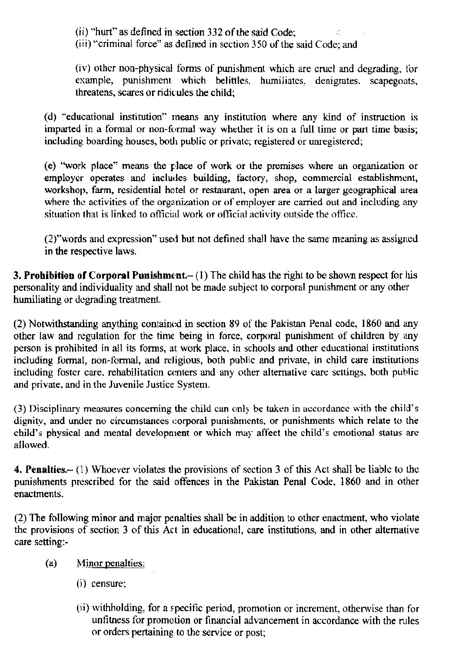(ii) "hurt" as defined in section 332 of the said Code:

(iii) "criminal force" as defined in section 350 of the said Code; and

(iv) other non-physical forms of punishment which are cruel and degrading, for example, punishment which belittles, humiliates, denigrates. scapegoats, threatens, scares or ridicules the child:

(d) "educational institution" means any institution where any kind of instruction is imparted in a formal or non-formal way whether it is on a full time or part time basis; including boarding houses, both public or private; registered or unregistered;

(e) "work place" means the place of work or the premises where an organization or employer operates and includes building, factory, shop, commercial establishment, workshop, farm, residential hotel or restaurant, open area or a larger geographical area where the activities of the organization or of employer are carried out and including any situation that is linked to official work or official activity outside the office.

(2)"words and expression" used but not defined shall have the same meaning as assigned in the respective laws.

**3. Prohibition of Corporal Punishment.**  $- (1)$  The child has the right to be shown respect for his personality and individuality and shall not be made subject to corporal punishment or any other humiliating or degrading treatment.

(2) Notwithstanding anything contained in section 89 of the Pakistan Penal code, 1860 and any other law and regulation for the time being in force, corporal punishment of children by any person is prohibited in all its forms, at work place, in schools and other educational institutions including formal, non-formal, and religious, both public and private, in child care institutions including foster care, rehabilitation centers and any other alternative care settings, both public and private, and in the Juvenile Justice System.

(3) Disciplinary measures concerning the child can only be taken in accordance with the child's dignity, and under no circumstances corporal punishments, or punishments which relate to the child's physical and mental development or which may affect the child's emotional status are allowed.

4. Penalties. $- (1)$  Whoever violates the provisions of section 3 of this Act shall be liable to the punishments prescribed for the said offences in the Pakistan Penal Code, 1860 and in other enactments.

(2) The following minor and major penalties shall be in addition to other enactment, who violate the provisions of section 3 of this Act in educational, care institutions, and in other alternative care setting:-

- Minor penalties:  $(a)$ 
	- $(i)$  censure;
	- (ii) withholding, for a specific period, promotion or increment, otherwise than for unfitness for promotion or financial advancement in accordance with the rules or orders pertaining to the service or post;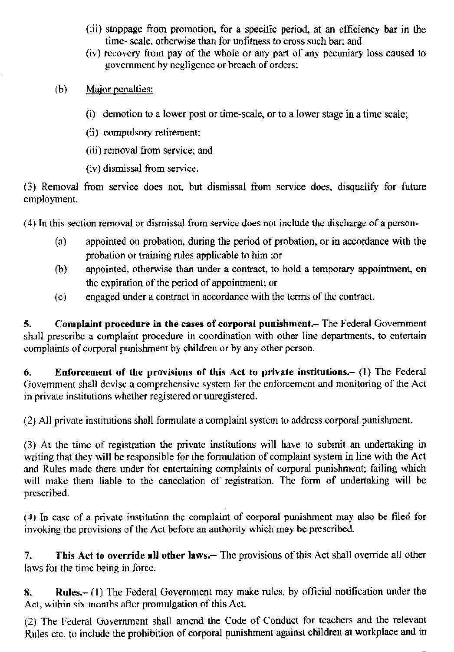- (iir) stoppage fiom promotion, for a specifrc period, at an efhciency bar in the time- scale, otherwise than for unfitness to cross such bar; and
- (iv) recovery from pay of the whole or any part of any pecuniary loss caused to government by negligence or breach of orders;
- (b) Major penalties:
	- (i) demotion to a lower post or time-scale, or to a lower stage in a time scale;
	- (ii) compulsory retirement;
	- (iii) removal from service; and
	- $(iv)$  dismissal from service.

(3) Removal from service does not, but dismissal from service does, disqualify for future employment.

(4) [n this section removal or dismissal from service does not includc the discharge ofa pcrson-

- $(a)$  appointed on probation, during the period of probation, or in accordance with the probation or training rules applicable to him ; or
- O) appointed, otherwisc than under a contract, to hold a temporary appointment, on the expiration of the period of appointment; or
- $(c)$  engaged under a contract in accordance with the terms of the contract.

5. Complaint procedure in the cases of corporal punishment.- The Federal Government shall prescribe a complaint procedure in coordination with other line departments, to entertain complaints of corporal punishment by children or by any other person.

6. Enforcement of the provisions of this Act to private institutions.- (1) The Federal Government shall devise a comprehensive system for the enforcement and monitoring of the Act in private institutions whether registered or unregistered.

(2) All private institutions shall formulate a complaint system to address corporal punishment.

(3) Ar the timc of rcgistradon the privore institutions will have to submit an undertaking in writing that they will be responsible for the formulation of complaint system in line with the Act and Rules made there under for entertaining complaints of corporal punishment; failing which will make them liable to the cancelation of registration. The form of undertaking will be prcscribed.

 $(4)$  In case of a private institution the complaint of corporal punishment may also be filed for invoking the provisions of the Act before an authority which may be prescribed.

7. This Act to override all other laws.- The provisions of this Act shall override all other laws for the time being in force.

E. Rules.- (l) l'he Federal Goveromcnt may make rulcs, by official notificarion under the Act, within six months after promulgation of this Act.

(2) The Federal Government shall amend the Code of Conduct for teachers and the relevant Rules etc. to include the prohibition of corporal punishment against children at workplace and in